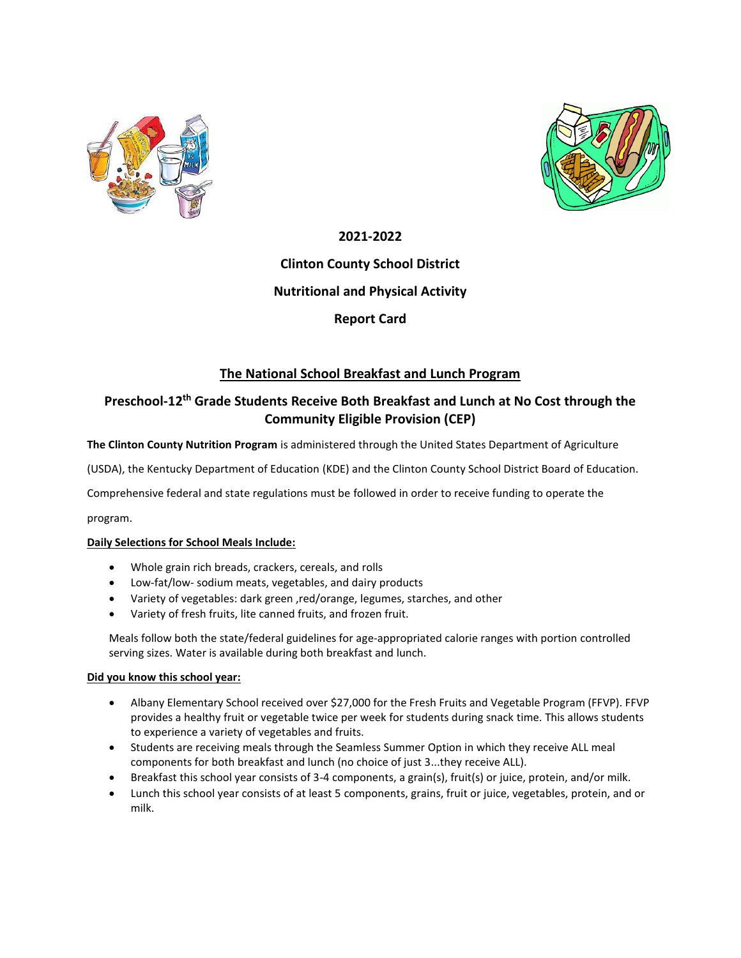



### **2021-2022**

## **Clinton County School District**

### **Nutritional and Physical Activity**

## **Report Card**

## **The National School Breakfast and Lunch Program**

# **Preschool-12th Grade Students Receive Both Breakfast and Lunch at No Cost through the Community Eligible Provision (CEP)**

**The Clinton County Nutrition Program** is administered through the United States Department of Agriculture

(USDA), the Kentucky Department of Education (KDE) and the Clinton County School District Board of Education.

Comprehensive federal and state regulations must be followed in order to receive funding to operate the

program.

### **Daily Selections for School Meals Include:**

- Whole grain rich breads, crackers, cereals, and rolls
- Low-fat/low- sodium meats, vegetables, and dairy products
- Variety of vegetables: dark green ,red/orange, legumes, starches, and other
- Variety of fresh fruits, lite canned fruits, and frozen fruit.

Meals follow both the state/federal guidelines for age-appropriated calorie ranges with portion controlled serving sizes. Water is available during both breakfast and lunch.

### **Did you know this school year:**

- Albany Elementary School received over \$27,000 for the Fresh Fruits and Vegetable Program (FFVP). FFVP provides a healthy fruit or vegetable twice per week for students during snack time. This allows students to experience a variety of vegetables and fruits.
- Students are receiving meals through the Seamless Summer Option in which they receive ALL meal components for both breakfast and lunch (no choice of just 3...they receive ALL).
- Breakfast this school year consists of 3-4 components, a grain(s), fruit(s) or juice, protein, and/or milk.
- Lunch this school year consists of at least 5 components, grains, fruit or juice, vegetables, protein, and or milk.